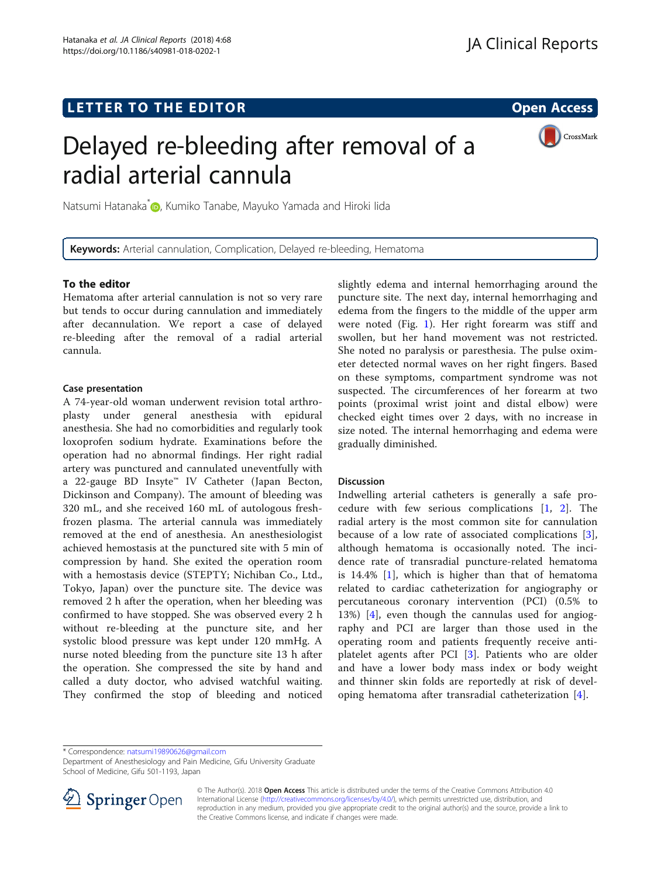## LETTER TO THE EDITOR **CONTROLL CONTROLL CONTROLL CONTROLL CONTROLL CONTROLL CONTROLL CONTROLL CONTROLL CONTROLL**

# Delayed re-bleeding after removal of a radial arterial cannula



Natsumi Hatanaka<sup>\*</sup> , Kumiko Tanabe, Mayuko Yamada and Hiroki lida

Keywords: Arterial cannulation, Complication, Delayed re-bleeding, Hematoma

## To the editor

Hematoma after arterial cannulation is not so very rare but tends to occur during cannulation and immediately after decannulation. We report a case of delayed re-bleeding after the removal of a radial arterial cannula.

## Case presentation

A 74-year-old woman underwent revision total arthroplasty under general anesthesia with epidural anesthesia. She had no comorbidities and regularly took loxoprofen sodium hydrate. Examinations before the operation had no abnormal findings. Her right radial artery was punctured and cannulated uneventfully with a 22-gauge BD Insyte™ IV Catheter (Japan Becton, Dickinson and Company). The amount of bleeding was 320 mL, and she received 160 mL of autologous freshfrozen plasma. The arterial cannula was immediately removed at the end of anesthesia. An anesthesiologist achieved hemostasis at the punctured site with 5 min of compression by hand. She exited the operation room with a hemostasis device (STEPTY; Nichiban Co., Ltd., Tokyo, Japan) over the puncture site. The device was removed 2 h after the operation, when her bleeding was confirmed to have stopped. She was observed every 2 h without re-bleeding at the puncture site, and her systolic blood pressure was kept under 120 mmHg. A nurse noted bleeding from the puncture site 13 h after the operation. She compressed the site by hand and called a duty doctor, who advised watchful waiting. They confirmed the stop of bleeding and noticed

slightly edema and internal hemorrhaging around the puncture site. The next day, internal hemorrhaging and edema from the fingers to the middle of the upper arm were noted (Fig. [1\)](#page-1-0). Her right forearm was stiff and swollen, but her hand movement was not restricted. She noted no paralysis or paresthesia. The pulse oximeter detected normal waves on her right fingers. Based on these symptoms, compartment syndrome was not suspected. The circumferences of her forearm at two points (proximal wrist joint and distal elbow) were checked eight times over 2 days, with no increase in size noted. The internal hemorrhaging and edema were gradually diminished.

## Discussion

Indwelling arterial catheters is generally a safe procedure with few serious complications [[1,](#page-1-0) [2\]](#page-1-0). The radial artery is the most common site for cannulation because of a low rate of associated complications [\[3](#page-1-0)], although hematoma is occasionally noted. The incidence rate of transradial puncture-related hematoma is  $14.4\%$  [\[1\]](#page-1-0), which is higher than that of hematoma related to cardiac catheterization for angiography or percutaneous coronary intervention (PCI) (0.5% to 13%) [[4](#page-1-0)], even though the cannulas used for angiography and PCI are larger than those used in the operating room and patients frequently receive antiplatelet agents after PCI [[3\]](#page-1-0). Patients who are older and have a lower body mass index or body weight and thinner skin folds are reportedly at risk of developing hematoma after transradial catheterization [[4](#page-1-0)].

\* Correspondence: [natsumi19890626@gmail.com](mailto:natsumi19890626@gmail.com)

Department of Anesthesiology and Pain Medicine, Gifu University Graduate School of Medicine, Gifu 501-1193, Japan



© The Author(s). 2018 Open Access This article is distributed under the terms of the Creative Commons Attribution 4.0 International License ([http://creativecommons.org/licenses/by/4.0/\)](http://creativecommons.org/licenses/by/4.0/), which permits unrestricted use, distribution, and reproduction in any medium, provided you give appropriate credit to the original author(s) and the source, provide a link to the Creative Commons license, and indicate if changes were made.